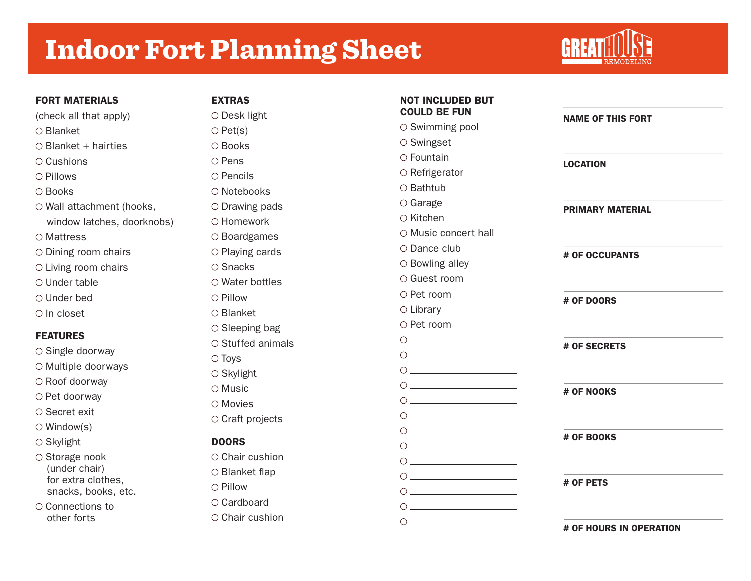# Indoor Fort Planning Sheet



| <b>FORT MATERIALS</b>                                   | <b>EXTRAS</b>           | <b>NOT INCLUDED BUT</b>                                                                                                                                                                                                                                                                                                                                                                     |                          |
|---------------------------------------------------------|-------------------------|---------------------------------------------------------------------------------------------------------------------------------------------------------------------------------------------------------------------------------------------------------------------------------------------------------------------------------------------------------------------------------------------|--------------------------|
| (check all that apply)                                  | $\circ$ Desk light      | <b>COULD BE FUN</b>                                                                                                                                                                                                                                                                                                                                                                         | <b>NAME OF THIS FORT</b> |
| O Blanket                                               | $\bigcirc$ Pet(s)       | ○ Swimming pool                                                                                                                                                                                                                                                                                                                                                                             |                          |
| $\circ$ Blanket + hairties                              | ○ Books                 | ○ Swingset                                                                                                                                                                                                                                                                                                                                                                                  |                          |
| $\circ$ Cushions                                        | ○ Pens                  | O Fountain                                                                                                                                                                                                                                                                                                                                                                                  | <b>LOCATION</b>          |
| O Pillows                                               | ○ Pencils               | $\circ$ Refrigerator                                                                                                                                                                                                                                                                                                                                                                        |                          |
| O Books                                                 | O Notebooks             | ○ Bathtub                                                                                                                                                                                                                                                                                                                                                                                   |                          |
| O Wall attachment (hooks,<br>window latches, doorknobs) | $\circ$ Drawing pads    | $\circ$ Garage                                                                                                                                                                                                                                                                                                                                                                              | <b>PRIMARY MATERIAL</b>  |
|                                                         | O Homework              | ○ Kitchen                                                                                                                                                                                                                                                                                                                                                                                   |                          |
| O Mattress                                              | $\circ$ Boardgames      | O Music concert hall                                                                                                                                                                                                                                                                                                                                                                        |                          |
| $\circ$ Dining room chairs                              | $\circ$ Playing cards   | $\circ$ Dance club                                                                                                                                                                                                                                                                                                                                                                          | # OF OCCUPANTS           |
| $\circ$ Living room chairs                              | $\circ$ Snacks          | ○ Bowling alley                                                                                                                                                                                                                                                                                                                                                                             |                          |
| O Under table                                           | $\circ$ Water bottles   | ○ Guest room                                                                                                                                                                                                                                                                                                                                                                                |                          |
| $\circ$ Under bed                                       | O Pillow                | ○ Pet room                                                                                                                                                                                                                                                                                                                                                                                  | # OF DOORS               |
| $\circ$ In closet                                       | ○ Blanket               | $\circ$ Library                                                                                                                                                                                                                                                                                                                                                                             |                          |
|                                                         | $\circ$ Sleeping bag    | ○ Pet room                                                                                                                                                                                                                                                                                                                                                                                  |                          |
| <b>FEATURES</b>                                         | $\circ$ Stuffed animals | $\begin{picture}(150,10) \put(0,0){\dashbox{0.5}(10,0){ }} \put(15,0){\circle{10}} \put(15,0){\circle{10}} \put(15,0){\circle{10}} \put(15,0){\circle{10}} \put(15,0){\circle{10}} \put(15,0){\circle{10}} \put(15,0){\circle{10}} \put(15,0){\circle{10}} \put(15,0){\circle{10}} \put(15,0){\circle{10}} \put(15,0){\circle{10}} \put(15,0){\circle{10}} \put(15,0){\circle{10}} \put(15$ | # OF SECRETS             |
| ○ Single doorway                                        | $\circ$ Toys            | $\begin{picture}(180,10) \put(0,0){\dashbox{0.5}(10,0){ }} \put(10,0){\dashbox{0.5}(10,0){ }} \put(10,0){\dashbox{0.5}(10,0){ }} \put(10,0){\dashbox{0.5}(10,0){ }} \put(10,0){\dashbox{0.5}(10,0){ }} \put(10,0){\dashbox{0.5}(10,0){ }} \put(10,0){\dashbox{0.5}(10,0){ }} \put(10,0){\dashbox{0.5}(10,0){ }} \put(10,0){\dashbox{0.5}(10,0){ }} \put(10,0){\dashbox$                     |                          |
| O Multiple doorways                                     | $\circ$ Skylight        | $\begin{picture}(150,10) \put(0,0){\dashbox{0.5}(10,0){ }} \put(15,0){\circle{10}} \put(15,0){\circle{10}} \put(15,0){\circle{10}} \put(15,0){\circle{10}} \put(15,0){\circle{10}} \put(15,0){\circle{10}} \put(15,0){\circle{10}} \put(15,0){\circle{10}} \put(15,0){\circle{10}} \put(15,0){\circle{10}} \put(15,0){\circle{10}} \put(15,0){\circle{10}} \put(15,0){\circle{10}} \put(15$ |                          |
| O Roof doorway                                          | ○ Music                 |                                                                                                                                                                                                                                                                                                                                                                                             |                          |
| O Pet doorway                                           | ○ Movies                | $\begin{picture}(150,10) \put(0,0){\dashbox{0.5}(10,0){ }} \put(15,0){\circle{10}} \put(15,0){\circle{10}} \put(15,0){\circle{10}} \put(15,0){\circle{10}} \put(15,0){\circle{10}} \put(15,0){\circle{10}} \put(15,0){\circle{10}} \put(15,0){\circle{10}} \put(15,0){\circle{10}} \put(15,0){\circle{10}} \put(15,0){\circle{10}} \put(15,0){\circle{10}} \put(15,0){\circle{10}} \put(15$ | # OF NOOKS               |
| $\circ$ Secret exit                                     | ○ Craft projects        | $\begin{picture}(150,10) \put(0,0){\line(1,0){10}} \put(15,0){\line(1,0){10}} \put(15,0){\line(1,0){10}} \put(15,0){\line(1,0){10}} \put(15,0){\line(1,0){10}} \put(15,0){\line(1,0){10}} \put(15,0){\line(1,0){10}} \put(15,0){\line(1,0){10}} \put(15,0){\line(1,0){10}} \put(15,0){\line(1,0){10}} \put(15,0){\line(1,0){10}} \put(15,0){\line($                                         |                          |
| $\circ$ Window(s)                                       |                         |                                                                                                                                                                                                                                                                                                                                                                                             |                          |
| $\circ$ Skylight                                        | <b>DOORS</b>            | $\circ \_\_$                                                                                                                                                                                                                                                                                                                                                                                | # OF BOOKS               |
| ○ Storage nook                                          | ○ Chair cushion         | $\begin{picture}(150,10) \put(0,0){\dashbox{0.5}(10,0){ }} \put(15,0){\circle{10}} \put(15,0){\circle{10}} \put(15,0){\circle{10}} \put(15,0){\circle{10}} \put(15,0){\circle{10}} \put(15,0){\circle{10}} \put(15,0){\circle{10}} \put(15,0){\circle{10}} \put(15,0){\circle{10}} \put(15,0){\circle{10}} \put(15,0){\circle{10}} \put(15,0){\circle{10}} \put(15,0){\circle{10}} \put(15$ |                          |
| (under chair)<br>for extra clothes,                     | O Blanket flap          | $\begin{picture}(150,10) \put(0,0){\dashbox{0.5}(10,0){ }} \put(15,0){\circle{10}} \put(15,0){\circle{10}} \put(15,0){\circle{10}} \put(15,0){\circle{10}} \put(15,0){\circle{10}} \put(15,0){\circle{10}} \put(15,0){\circle{10}} \put(15,0){\circle{10}} \put(15,0){\circle{10}} \put(15,0){\circle{10}} \put(15,0){\circle{10}} \put(15,0){\circle{10}} \put(15,0){\circle{10}} \put(15$ |                          |
| snacks, books, etc.                                     | O Pillow                | $\begin{picture}(150,10) \put(0,0){\line(1,0){10}} \put(15,0){\line(1,0){10}} \put(15,0){\line(1,0){10}} \put(15,0){\line(1,0){10}} \put(15,0){\line(1,0){10}} \put(15,0){\line(1,0){10}} \put(15,0){\line(1,0){10}} \put(15,0){\line(1,0){10}} \put(15,0){\line(1,0){10}} \put(15,0){\line(1,0){10}} \put(15,0){\line(1,0){10}} \put(15,0){\line($                                         | # OF PETS                |
| $\circ$ Connections to                                  | ○ Cardboard             | $\begin{picture}(180,10) \put(0,0){\dashbox{0.5}(10,0){ }} \put(10,0){\circle{10}} \put(10,0){\circle{10}} \put(10,0){\circle{10}} \put(10,0){\circle{10}} \put(10,0){\circle{10}} \put(10,0){\circle{10}} \put(10,0){\circle{10}} \put(10,0){\circle{10}} \put(10,0){\circle{10}} \put(10,0){\circle{10}} \put(10,0){\circle{10}} \put(10,0){\circle{10}} \put(10,0){\circle{10}} \put(10$ |                          |
| other forts                                             | $\circ$ Chair cushion   | $\begin{picture}(150,10) \put(0,0){\dashbox{0.5}(10,0){ }} \put(15,0){\circle{10}} \put(15,0){\circle{10}} \put(15,0){\circle{10}} \put(15,0){\circle{10}} \put(15,0){\circle{10}} \put(15,0){\circle{10}} \put(15,0){\circle{10}} \put(15,0){\circle{10}} \put(15,0){\circle{10}} \put(15,0){\circle{10}} \put(15,0){\circle{10}} \put(15,0){\circle{10}} \put(15,0){\circle{10}} \put(15$ |                          |
|                                                         |                         |                                                                                                                                                                                                                                                                                                                                                                                             | # OF HOURS IN OPERATION  |